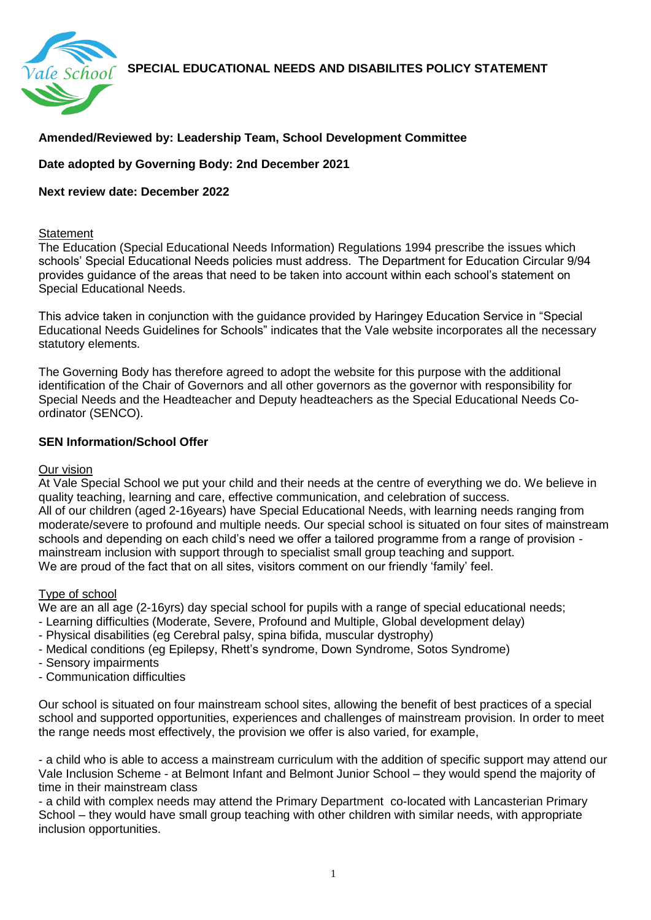**SPECIAL EDUCATIONAL NEEDS AND DISABILITES POLICY STATEMENT** 



# **Amended/Reviewed by: Leadership Team, School Development Committee**

## **Date adopted by Governing Body: 2nd December 2021**

### **Next review date: December 2022**

#### **Statement**

The Education (Special Educational Needs Information) Regulations 1994 prescribe the issues which schools' Special Educational Needs policies must address. The Department for Education Circular 9/94 provides guidance of the areas that need to be taken into account within each school's statement on Special Educational Needs.

This advice taken in conjunction with the guidance provided by Haringey Education Service in "Special Educational Needs Guidelines for Schools" indicates that the Vale website incorporates all the necessary statutory elements.

The Governing Body has therefore agreed to adopt the website for this purpose with the additional identification of the Chair of Governors and all other governors as the governor with responsibility for Special Needs and the Headteacher and Deputy headteachers as the Special Educational Needs Coordinator (SENCO).

### **SEN Information/School Offer**

#### Our vision

At Vale Special School we put your child and their needs at the centre of everything we do. We believe in quality teaching, learning and care, effective communication, and celebration of success. All of our children (aged 2-16years) have Special Educational Needs, with learning needs ranging from moderate/severe to profound and multiple needs. Our special school is situated on four sites of mainstream schools and depending on each child's need we offer a tailored programme from a range of provision mainstream inclusion with support through to specialist small group teaching and support. We are proud of the fact that on all sites, visitors comment on our friendly 'family' feel.

### Type of school

We are an all age (2-16yrs) day special school for pupils with a range of special educational needs;

- Learning difficulties (Moderate, Severe, Profound and Multiple, Global development delay)
- Physical disabilities (eg Cerebral palsy, spina bifida, muscular dystrophy)
- Medical conditions (eg Epilepsy, Rhett's syndrome, Down Syndrome, Sotos Syndrome)
- Sensory impairments
- Communication difficulties

Our school is situated on four mainstream school sites, allowing the benefit of best practices of a special school and supported opportunities, experiences and challenges of mainstream provision. In order to meet the range needs most effectively, the provision we offer is also varied, for example,

- a child who is able to access a mainstream curriculum with the addition of specific support may attend our Vale Inclusion Scheme - at Belmont Infant and Belmont Junior School – they would spend the majority of time in their mainstream class

- a child with complex needs may attend the Primary Department co-located with Lancasterian Primary School – they would have small group teaching with other children with similar needs, with appropriate inclusion opportunities.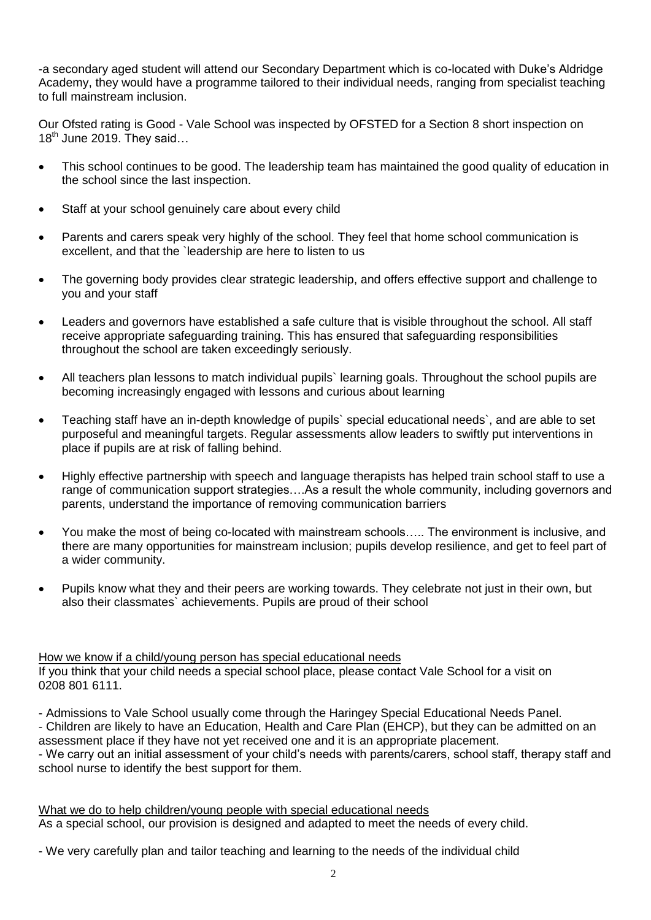-a secondary aged student will attend our Secondary Department which is co-located with Duke's Aldridge Academy, they would have a programme tailored to their individual needs, ranging from specialist teaching to full mainstream inclusion.

Our Ofsted rating is Good - Vale School was inspected by OFSTED for a Section 8 short inspection on  $18^{th}$  June 2019. They said...

- This school continues to be good. The leadership team has maintained the good quality of education in the school since the last inspection.
- Staff at your school genuinely care about every child
- Parents and carers speak very highly of the school. They feel that home school communication is excellent, and that the `leadership are here to listen to us
- The governing body provides clear strategic leadership, and offers effective support and challenge to you and your staff
- Leaders and governors have established a safe culture that is visible throughout the school. All staff receive appropriate safeguarding training. This has ensured that safeguarding responsibilities throughout the school are taken exceedingly seriously.
- All teachers plan lessons to match individual pupils` learning goals. Throughout the school pupils are becoming increasingly engaged with lessons and curious about learning
- Teaching staff have an in-depth knowledge of pupils` special educational needs`, and are able to set purposeful and meaningful targets. Regular assessments allow leaders to swiftly put interventions in place if pupils are at risk of falling behind.
- Highly effective partnership with speech and language therapists has helped train school staff to use a range of communication support strategies….As a result the whole community, including governors and parents, understand the importance of removing communication barriers
- You make the most of being co-located with mainstream schools….. The environment is inclusive, and there are many opportunities for mainstream inclusion; pupils develop resilience, and get to feel part of a wider community.
- Pupils know what they and their peers are working towards. They celebrate not just in their own, but also their classmates` achievements. Pupils are proud of their school

How we know if a child/young person has special educational needs

If you think that your child needs a special school place, please contact Vale School for a visit on 0208 801 6111.

- Admissions to Vale School usually come through the Haringey Special Educational Needs Panel. - Children are likely to have an Education, Health and Care Plan (EHCP), but they can be admitted on an assessment place if they have not yet received one and it is an appropriate placement.

- We carry out an initial assessment of your child's needs with parents/carers, school staff, therapy staff and school nurse to identify the best support for them.

What we do to help children/young people with special educational needs As a special school, our provision is designed and adapted to meet the needs of every child.

- We very carefully plan and tailor teaching and learning to the needs of the individual child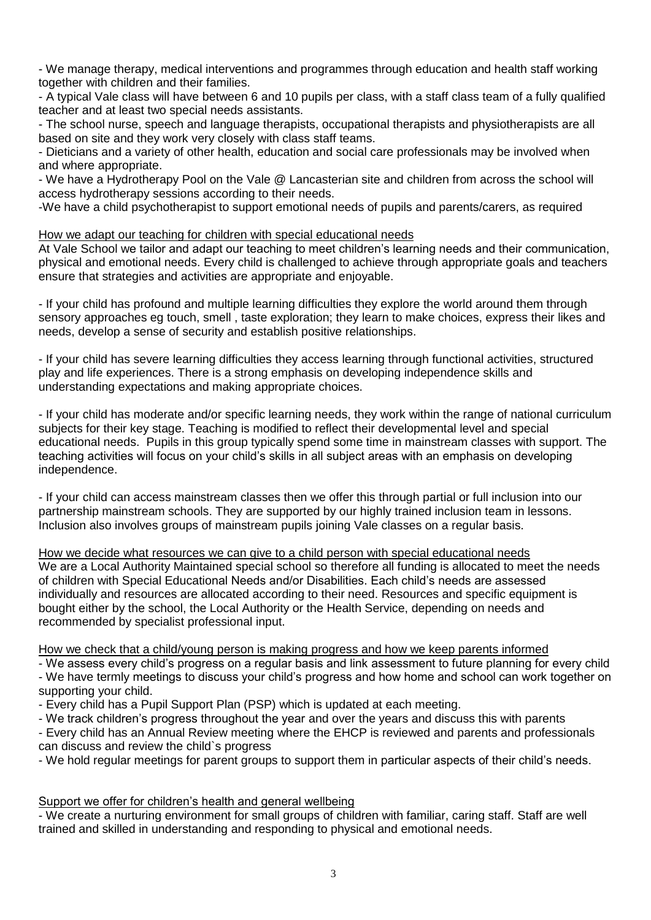- We manage therapy, medical interventions and programmes through education and health staff working together with children and their families.

- A typical Vale class will have between 6 and 10 pupils per class, with a staff class team of a fully qualified teacher and at least two special needs assistants.

- The school nurse, speech and language therapists, occupational therapists and physiotherapists are all based on site and they work very closely with class staff teams.

- Dieticians and a variety of other health, education and social care professionals may be involved when and where appropriate.

- We have a Hydrotherapy Pool on the Vale @ Lancasterian site and children from across the school will access hydrotherapy sessions according to their needs.

-We have a child psychotherapist to support emotional needs of pupils and parents/carers, as required

How we adapt our teaching for children with special educational needs

At Vale School we tailor and adapt our teaching to meet children's learning needs and their communication, physical and emotional needs. Every child is challenged to achieve through appropriate goals and teachers ensure that strategies and activities are appropriate and enjoyable.

- If your child has profound and multiple learning difficulties they explore the world around them through sensory approaches eg touch, smell , taste exploration; they learn to make choices, express their likes and needs, develop a sense of security and establish positive relationships.

- If your child has severe learning difficulties they access learning through functional activities, structured play and life experiences. There is a strong emphasis on developing independence skills and understanding expectations and making appropriate choices.

- If your child has moderate and/or specific learning needs, they work within the range of national curriculum subjects for their key stage. Teaching is modified to reflect their developmental level and special educational needs. Pupils in this group typically spend some time in mainstream classes with support. The teaching activities will focus on your child's skills in all subject areas with an emphasis on developing independence.

- If your child can access mainstream classes then we offer this through partial or full inclusion into our partnership mainstream schools. They are supported by our highly trained inclusion team in lessons. Inclusion also involves groups of mainstream pupils joining Vale classes on a regular basis.

How we decide what resources we can give to a child person with special educational needs We are a Local Authority Maintained special school so therefore all funding is allocated to meet the needs of children with Special Educational Needs and/or Disabilities. Each child's needs are assessed individually and resources are allocated according to their need. Resources and specific equipment is bought either by the school, the Local Authority or the Health Service, depending on needs and recommended by specialist professional input.

How we check that a child/young person is making progress and how we keep parents informed

- We assess every child's progress on a regular basis and link assessment to future planning for every child - We have termly meetings to discuss your child's progress and how home and school can work together on supporting your child.

- Every child has a Pupil Support Plan (PSP) which is updated at each meeting.

- We track children's progress throughout the year and over the years and discuss this with parents

- Every child has an Annual Review meeting where the EHCP is reviewed and parents and professionals can discuss and review the child`s progress

- We hold regular meetings for parent groups to support them in particular aspects of their child's needs.

### Support we offer for children's health and general wellbeing

- We create a nurturing environment for small groups of children with familiar, caring staff. Staff are well trained and skilled in understanding and responding to physical and emotional needs.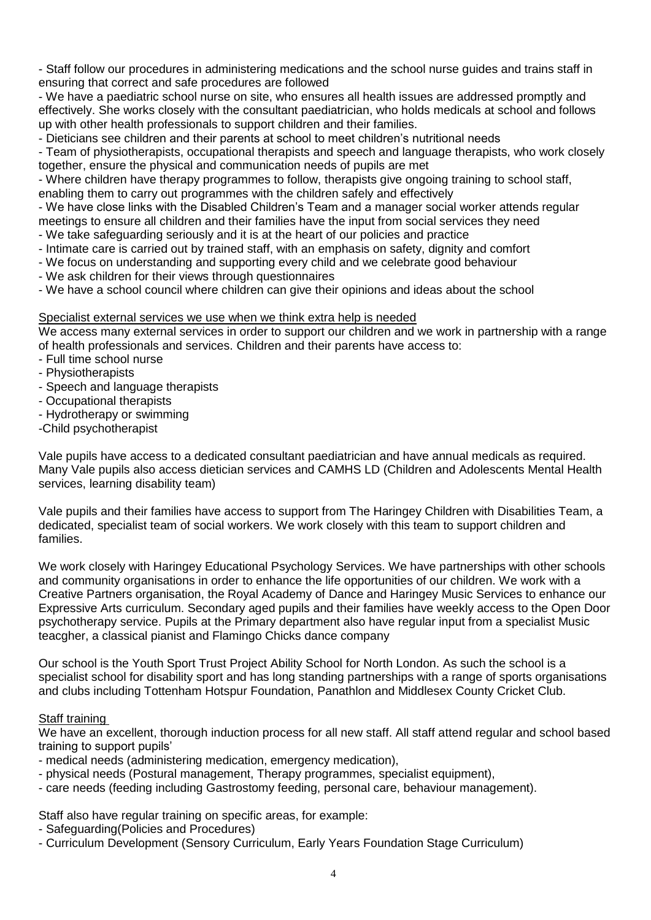- Staff follow our procedures in administering medications and the school nurse guides and trains staff in ensuring that correct and safe procedures are followed

- We have a paediatric school nurse on site, who ensures all health issues are addressed promptly and effectively. She works closely with the consultant paediatrician, who holds medicals at school and follows up with other health professionals to support children and their families.

- Dieticians see children and their parents at school to meet children's nutritional needs

- Team of physiotherapists, occupational therapists and speech and language therapists, who work closely together, ensure the physical and communication needs of pupils are met

- Where children have therapy programmes to follow, therapists give ongoing training to school staff, enabling them to carry out programmes with the children safely and effectively

- We have close links with the Disabled Children's Team and a manager social worker attends regular meetings to ensure all children and their families have the input from social services they need

- We take safeguarding seriously and it is at the heart of our policies and practice
- Intimate care is carried out by trained staff, with an emphasis on safety, dignity and comfort
- We focus on understanding and supporting every child and we celebrate good behaviour
- We ask children for their views through questionnaires
- We have a school council where children can give their opinions and ideas about the school

### Specialist external services we use when we think extra help is needed

We access many external services in order to support our children and we work in partnership with a range of health professionals and services. Children and their parents have access to:

- Full time school nurse
- Physiotherapists
- Speech and language therapists
- Occupational therapists
- Hydrotherapy or swimming
- -Child psychotherapist

Vale pupils have access to a dedicated consultant paediatrician and have annual medicals as required. Many Vale pupils also access dietician services and CAMHS LD (Children and Adolescents Mental Health services, learning disability team)

Vale pupils and their families have access to support from The Haringey Children with Disabilities Team, a dedicated, specialist team of social workers. We work closely with this team to support children and families.

We work closely with Haringey Educational Psychology Services. We have partnerships with other schools and community organisations in order to enhance the life opportunities of our children. We work with a Creative Partners organisation, the Royal Academy of Dance and Haringey Music Services to enhance our Expressive Arts curriculum. Secondary aged pupils and their families have weekly access to the Open Door psychotherapy service. Pupils at the Primary department also have regular input from a specialist Music teacgher, a classical pianist and Flamingo Chicks dance company

Our school is the Youth Sport Trust Project Ability School for North London. As such the school is a specialist school for disability sport and has long standing partnerships with a range of sports organisations and clubs including Tottenham Hotspur Foundation, Panathlon and Middlesex County Cricket Club.

### Staff training

We have an excellent, thorough induction process for all new staff. All staff attend regular and school based training to support pupils'

- medical needs (administering medication, emergency medication),
- physical needs (Postural management, Therapy programmes, specialist equipment),
- care needs (feeding including Gastrostomy feeding, personal care, behaviour management).

Staff also have regular training on specific areas, for example:

- Safeguarding(Policies and Procedures)
- Curriculum Development (Sensory Curriculum, Early Years Foundation Stage Curriculum)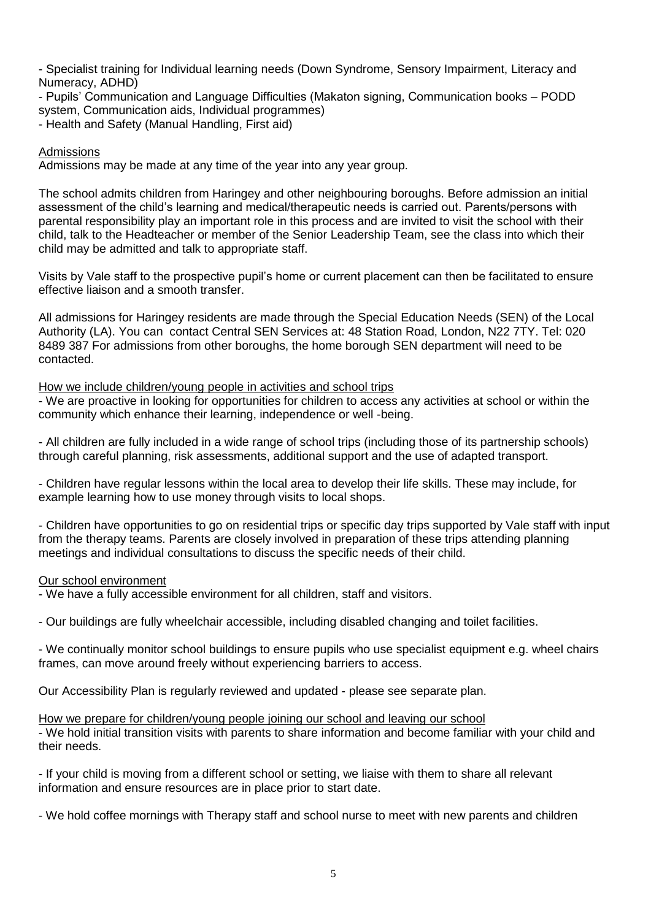- Specialist training for Individual learning needs (Down Syndrome, Sensory Impairment, Literacy and Numeracy, ADHD)

- Pupils' Communication and Language Difficulties (Makaton signing, Communication books – PODD system, Communication aids, Individual programmes)

- Health and Safety (Manual Handling, First aid)

### Admissions

Admissions may be made at any time of the year into any year group.

The school admits children from Haringey and other neighbouring boroughs. Before admission an initial assessment of the child's learning and medical/therapeutic needs is carried out. Parents/persons with parental responsibility play an important role in this process and are invited to visit the school with their child, talk to the Headteacher or member of the Senior Leadership Team, see the class into which their child may be admitted and talk to appropriate staff.

Visits by Vale staff to the prospective pupil's home or current placement can then be facilitated to ensure effective liaison and a smooth transfer.

All admissions for Haringey residents are made through the Special Education Needs (SEN) of the Local Authority (LA). You can contact Central SEN Services at: 48 Station Road, London, N22 7TY. Tel: 020 8489 387 For admissions from other boroughs, the home borough SEN department will need to be contacted.

#### How we include children/young people in activities and school trips

- We are proactive in looking for opportunities for children to access any activities at school or within the community which enhance their learning, independence or well -being.

- All children are fully included in a wide range of school trips (including those of its partnership schools) through careful planning, risk assessments, additional support and the use of adapted transport.

- Children have regular lessons within the local area to develop their life skills. These may include, for example learning how to use money through visits to local shops.

- Children have opportunities to go on residential trips or specific day trips supported by Vale staff with input from the therapy teams. Parents are closely involved in preparation of these trips attending planning meetings and individual consultations to discuss the specific needs of their child.

#### Our school environment

- We have a fully accessible environment for all children, staff and visitors.

- Our buildings are fully wheelchair accessible, including disabled changing and toilet facilities.

- We continually monitor school buildings to ensure pupils who use specialist equipment e.g. wheel chairs frames, can move around freely without experiencing barriers to access.

Our Accessibility Plan is regularly reviewed and updated - please see separate plan.

#### How we prepare for children/young people joining our school and leaving our school

- We hold initial transition visits with parents to share information and become familiar with your child and their needs.

- If your child is moving from a different school or setting, we liaise with them to share all relevant information and ensure resources are in place prior to start date.

- We hold coffee mornings with Therapy staff and school nurse to meet with new parents and children